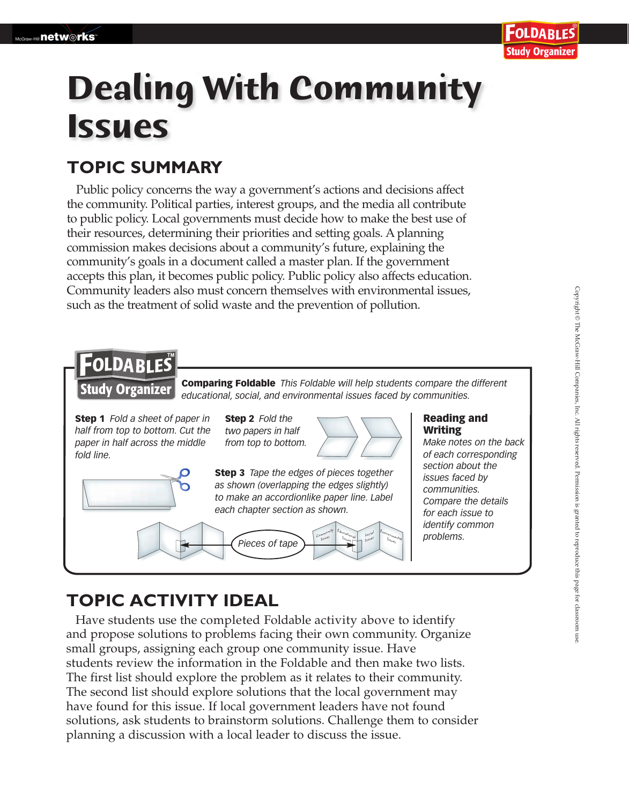# **Dealing With Community Issues**

### **TOPIC SUMMARY**

Public policy concerns the way a government's actions and decisions affect the community. Political parties, interest groups, and the media all contribute to public policy. Local governments must decide how to make the best use of their resources, determining their priorities and setting goals. A planning commission makes decisions about a community's future, explaining the community's goals in a document called a master plan. If the government accepts this plan, it becomes public policy. Public policy also affects education. Community leaders also must concern themselves with environmental issues, such as the treatment of solid waste and the prevention of pollution.



## **TOPIC ACTIVITY IDEAL**

Have students use the completed Foldable activity above to identify and propose solutions to problems facing their own community. Organize small groups, assigning each group one community issue. Have students review the information in the Foldable and then make two lists. The first list should explore the problem as it relates to their community. The second list should explore solutions that the local government may have found for this issue. If local government leaders have not found solutions, ask students to brainstorm solutions. Challenge them to consider planning a discussion with a local leader to discuss the issue.